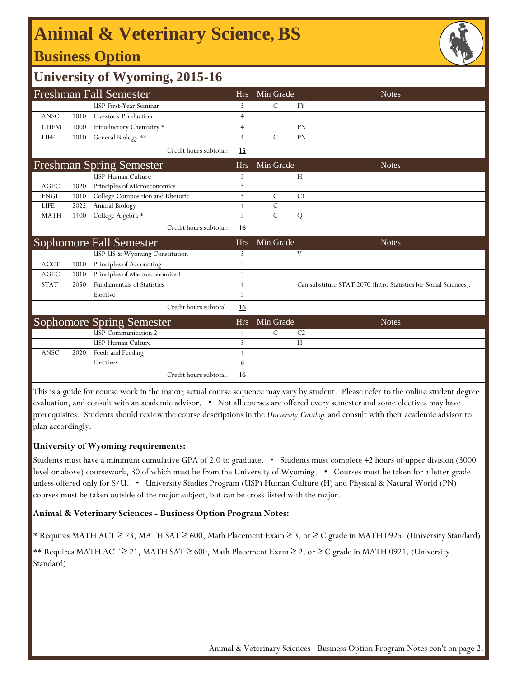# **Animal & Veterinary Science, BS**

## **Business Option**



## **University of Wyoming, 2015-16**

| <b>Freshman Fall Semester</b>   |      |                                   | <b>Hrs</b>     | Min Grade     | <b>Notes</b>                                                     |
|---------------------------------|------|-----------------------------------|----------------|---------------|------------------------------------------------------------------|
|                                 |      | USP First-Year Seminar            | 3              | $\mathcal{C}$ | <b>FY</b>                                                        |
| <b>ANSC</b>                     | 1010 | <b>Livestock Production</b>       | 4              |               |                                                                  |
| <b>CHEM</b>                     | 1000 | Introductory Chemistry *          | $\overline{4}$ |               | PN                                                               |
| <b>LIFE</b>                     | 1010 | General Biology **                | $\overline{4}$ | $\mathcal{C}$ | PN                                                               |
|                                 |      | Credit hours subtotal:            | 15             |               |                                                                  |
| <b>Freshman Spring Semester</b> |      |                                   | <b>Hrs</b>     | Min Grade     | <b>Notes</b>                                                     |
|                                 |      | <b>USP Human Culture</b>          | 3              |               | H                                                                |
| <b>AGEC</b>                     | 1020 | Principles of Microeconomics      | 3              |               |                                                                  |
| <b>ENGL</b>                     | 1010 | College Composition and Rhetoric  | 3              | $\mathcal{C}$ | C <sub>1</sub>                                                   |
| <b>LIFE</b>                     | 2022 | Animal Biology                    | $\overline{4}$ | $\mathcal{C}$ |                                                                  |
| <b>MATH</b>                     | 1400 | College Algebra *                 | 3              | $\mathcal{C}$ | ${\bf Q}$                                                        |
|                                 |      | Credit hours subtotal:            | <u>16</u>      |               |                                                                  |
|                                 |      |                                   | <b>Hrs</b>     | Min Grade     | <b>Notes</b>                                                     |
|                                 |      | <b>Sophomore Fall Semester</b>    |                |               |                                                                  |
|                                 |      | USP US & Wyoming Constitution     | 3              |               | V                                                                |
| <b>ACCT</b>                     | 1010 | Principles of Accounting I        | 3              |               |                                                                  |
| <b>AGEC</b>                     | 1010 | Principles of Macroeconomics I    | 3              |               |                                                                  |
| <b>STAT</b>                     | 2050 | <b>Fundamentals of Statistics</b> | $\overline{4}$ |               | Can substitute STAT 2070 (Intro Statistics for Social Sciences). |
|                                 |      | Elective                          | 3              |               |                                                                  |
|                                 |      | Credit hours subtotal:            | <u>16</u>      |               |                                                                  |
|                                 |      | <b>Sophomore Spring Semester</b>  | <b>Hrs</b>     | Min Grade     | <b>Notes</b>                                                     |
|                                 |      | <b>USP</b> Communication 2        | 3              | $\mathcal{C}$ | C <sub>2</sub>                                                   |
|                                 |      | <b>USP Human Culture</b>          | 3              |               | H                                                                |
| ANSC                            | 2020 | Feeds and Feeding                 | $\overline{4}$ |               |                                                                  |
|                                 |      | Electives                         | 6              |               |                                                                  |

This is a guide for course work in the major; actual course sequence may vary by student. Please refer to the online student degree evaluation, and consult with an academic advisor. • Not all courses are offered every semester and some electives may have prerequisites. Students should review the course descriptions in the *University Catalog* and consult with their academic advisor to plan accordingly.

### **University of Wyoming requirements:**

Students must have a minimum cumulative GPA of 2.0 to graduate. • Students must complete 42 hours of upper division (3000 level or above) coursework, 30 of which must be from the University of Wyoming. • Courses must be taken for a letter grade unless offered only for S/U. • University Studies Program (USP) Human Culture (H) and Physical & Natural World (PN) courses must be taken outside of the major subject, but can be cross-listed with the major.

### **Animal & Veterinary Sciences - Business Option Program Notes:**

\* Requires MATH ACT ≥ 23, MATH SAT ≥ 600, Math Placement Exam ≥ 3, or ≥ C grade in MATH 0925. (University Standard)

\*\* Requires MATH ACT ≥ 21, MATH SAT ≥ 600, Math Placement Exam ≥ 2, or ≥ C grade in MATH 0921. (University Standard)